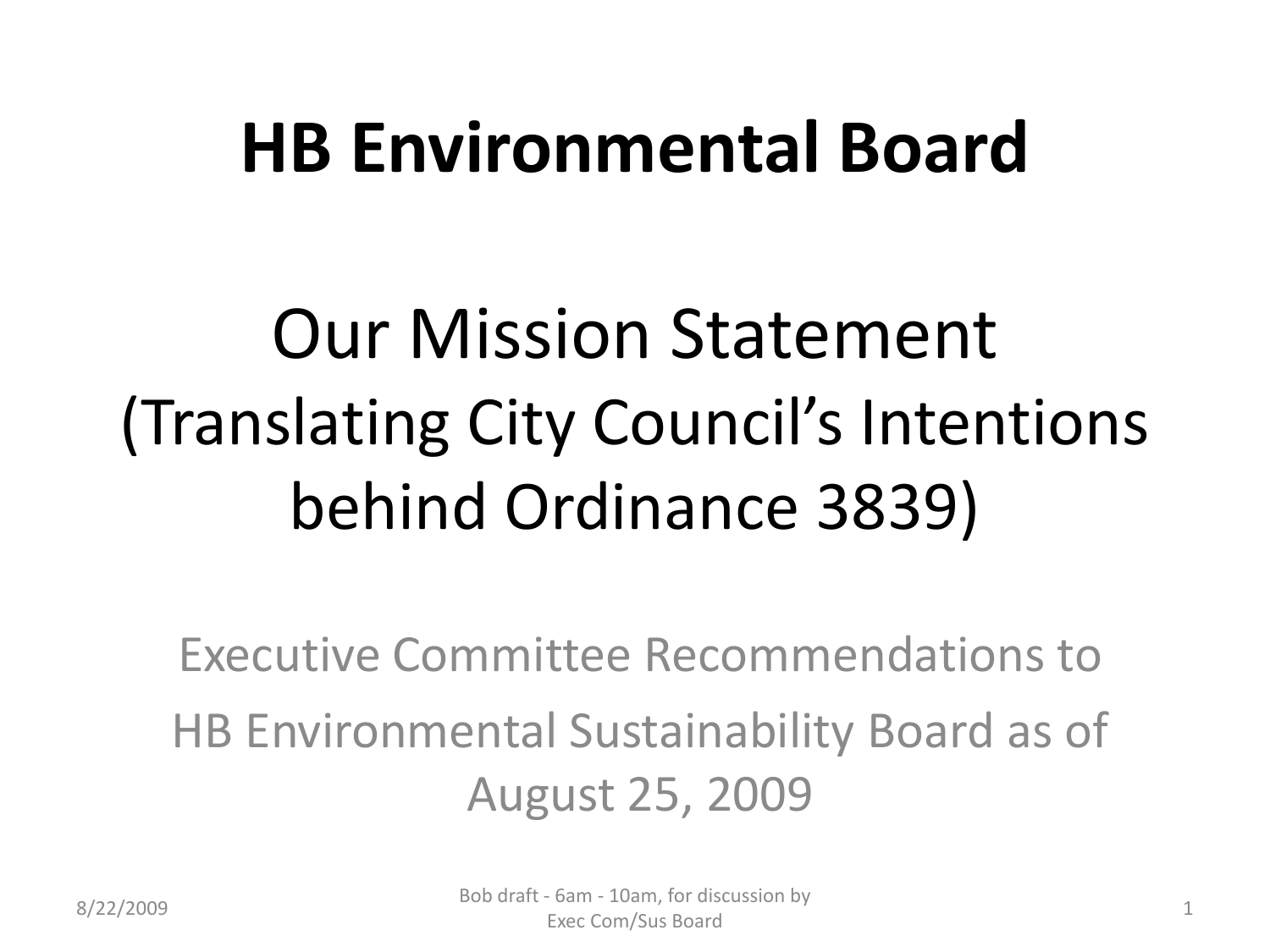## **HB Environmental Board**

# Our Mission Statement (Translating City Council's Intentions behind Ordinance 3839)

Executive Committee Recommendations to HB Environmental Sustainability Board as of August 25, 2009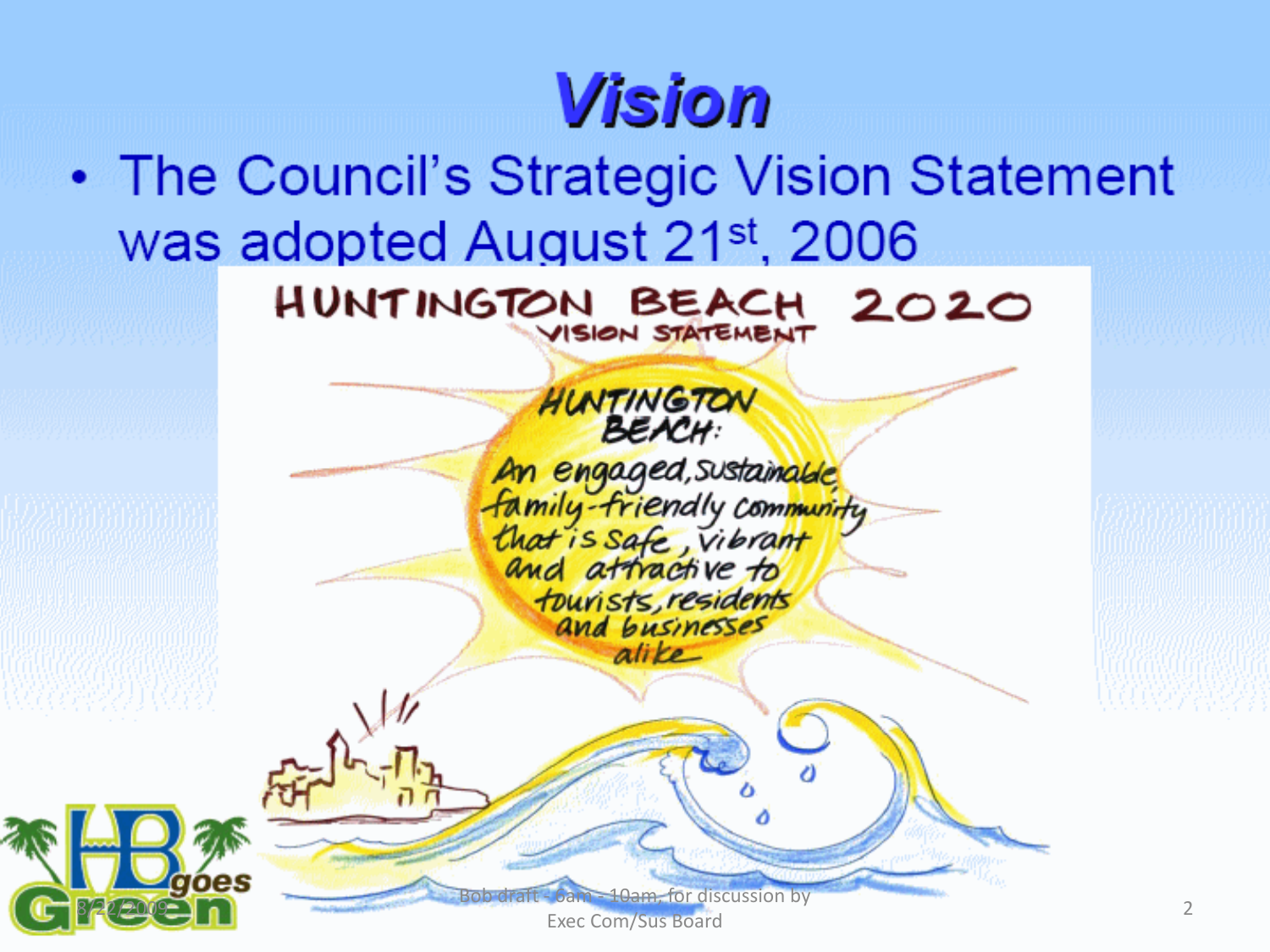## **Vision**

• The Council's Strategic Vision Statement was adopted August 21st, 2006



Exec Com/Sus Board

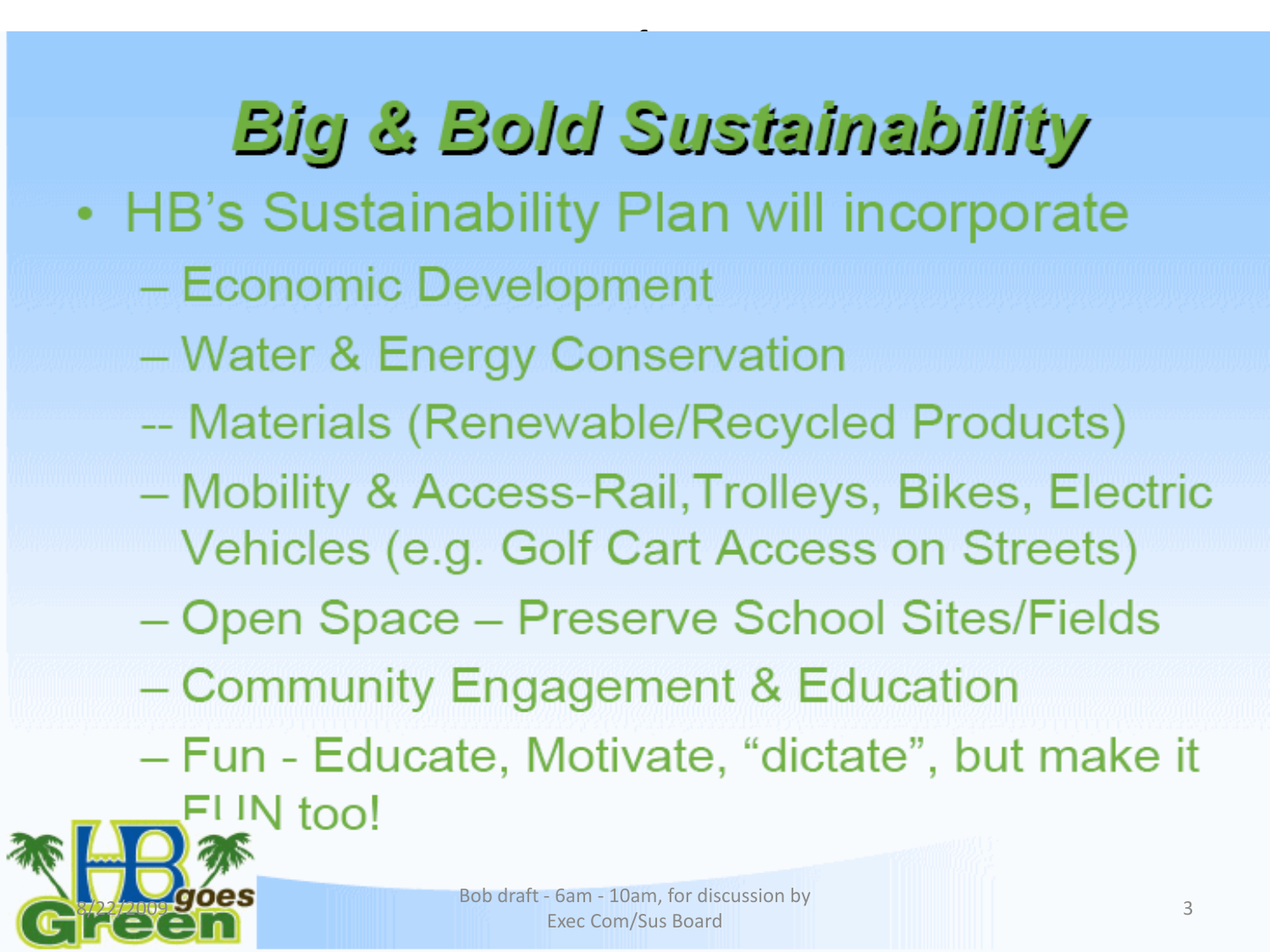**Big & Bold Sustainability** • HB's Sustainability Plan will incorporate - Economic Development **Water & Energy Conservation** -- Materials (Renewable/Recycled Products) Mobility & Access-Rail, Trolleys, Bikes, Electric Vehicles (e.g. Golf Cart Access on Streets) Open Space - Preserve School Sites/Fields - Community Engagement & Education – Fun - Educate, Motivate, "dictate", but make it FLIN too!

1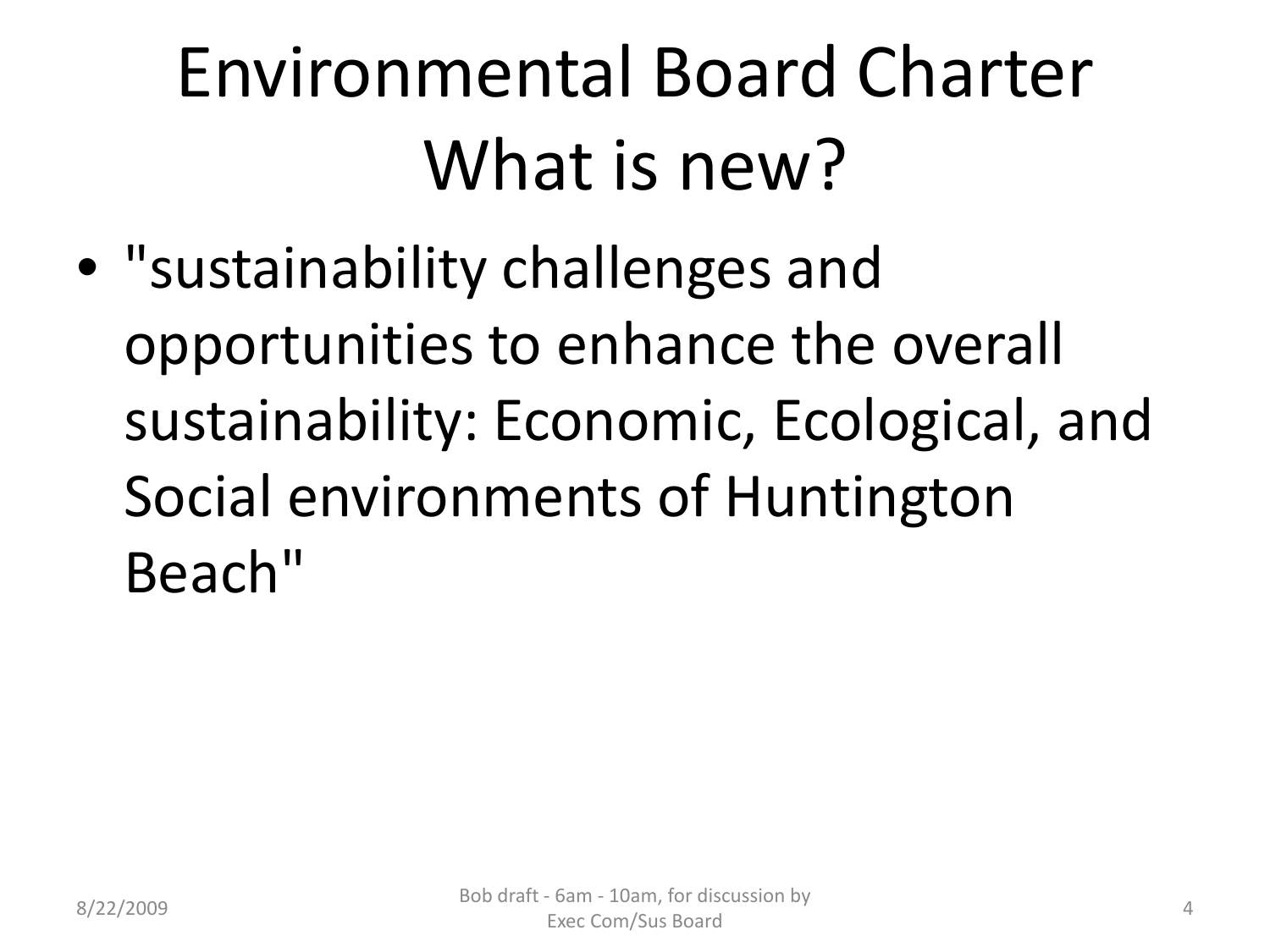# Environmental Board Charter What is new?

• "sustainability challenges and opportunities to enhance the overall sustainability: Economic, Ecological, and Social environments of Huntington Beach"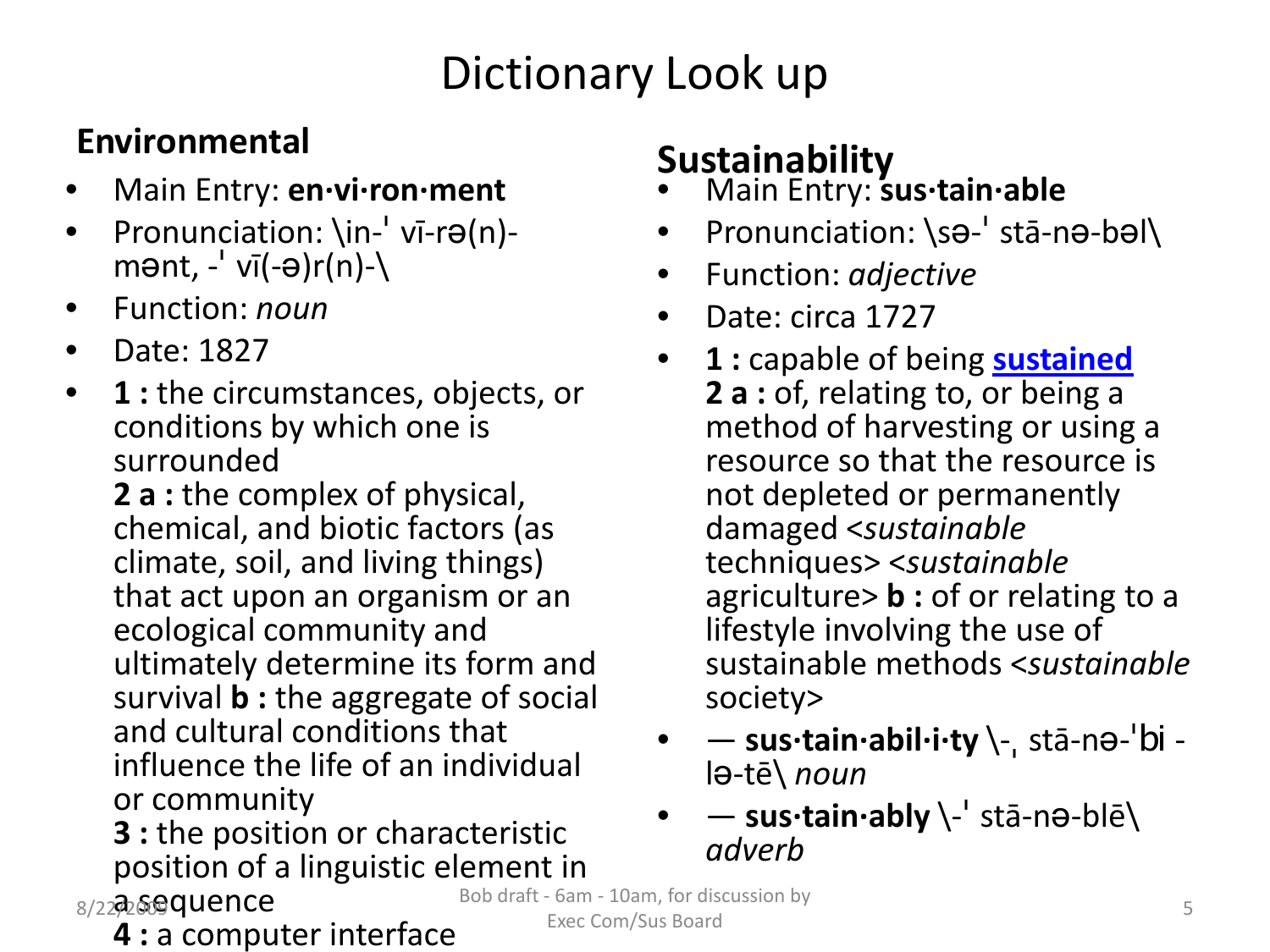#### Dictionary Look up

#### **Environmental**

- Main Entry: **en·vi·ron·ment**
- Pronunciation:  $\infty$ <sup>-'</sup> vī-rə(n)-<br>mənt, -<sup>'</sup> vī(-ə)r(n)-
- Function: *noun*
- Date: 1827
- **1 :** the circumstances, objects, or conditions by which one is surrounded

**2 a :** the complex of physical, chemical, and biotic factors (as climate, soil, and living things) that act upon an organism or an ecological community and ultimately determine its form and survival **b :** the aggregate of social and cultural conditions that influence the life of an individual or community

**3 :** the position or characteristic position of a linguistic element in

• Function: *adjective* Date: circa 1727

**Sustainability**

• Main Entry: **sus·tain·able**

• **1 :** capable of being **[sustained](http://www.merriam-webster.com/dictionary/sustained) 2 a :** of, relating to, or being a method of harvesting or using a resource so that the resource is not depleted or permanently damaged <*sustainable* techniques> <*sustainable* agriculture> **b :** of or relating to a lifestyle involving the use of sustainable methods <*sustainable* society>

• Pronunciation: \sə-ˈ stā-nə-bəl\

- — **sus·tain·abil·i·ty** \-<sup>ˌ</sup> stā-nə-ˈbi <sup>l</sup>ə-tē\ *noun*
- — **sus·tain·ably** \-ˈ stā-nə-blē\ *adverb*

- 8/22 @ Gequence
	- **4 :** a computer interface

Bob draft - 6am - 10am, for discussion by  $\overline{5}$ Exec Com/Sus Board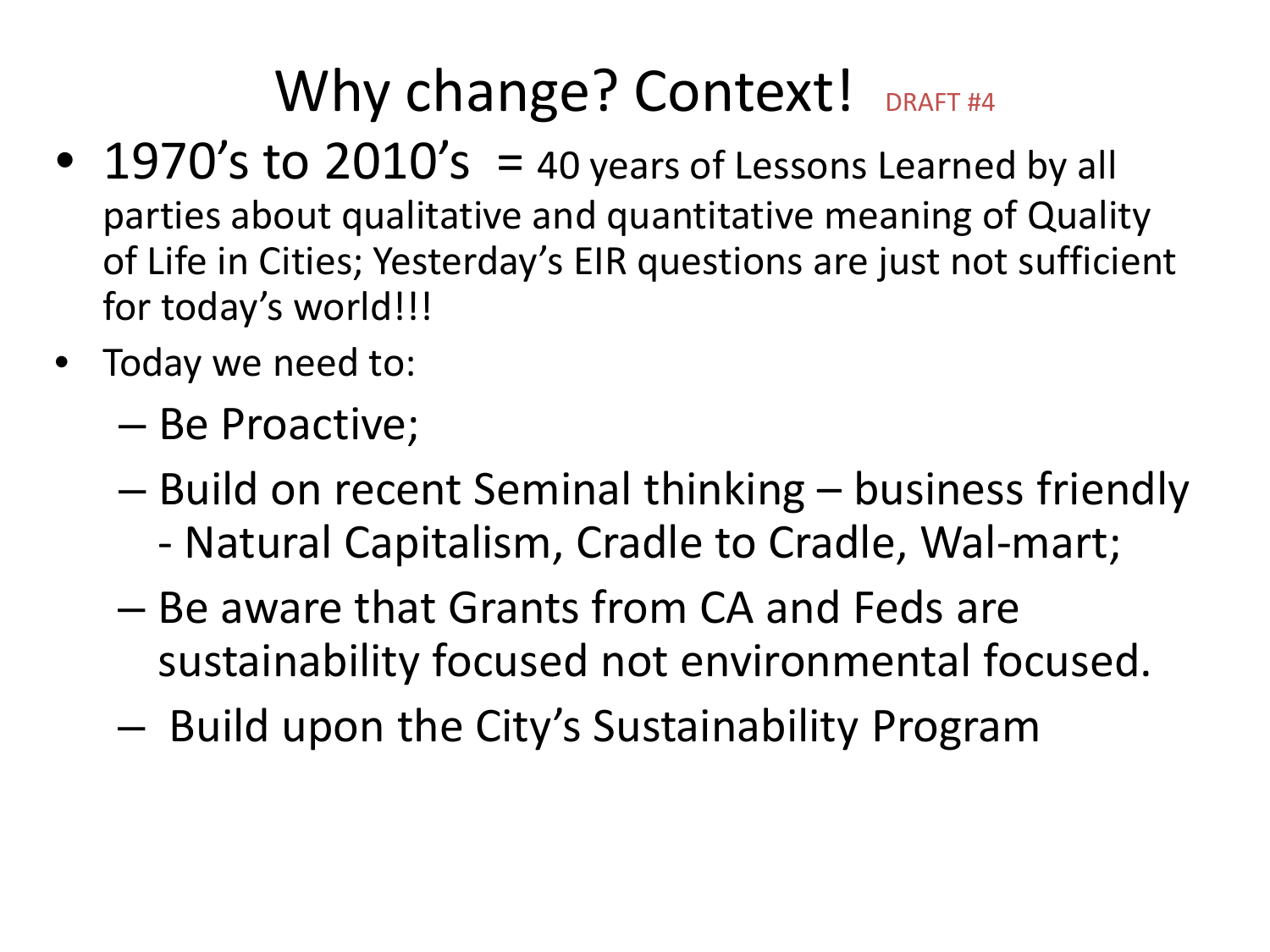#### Why change? Context! DRAFT #4

- 1970's to  $2010's = 40$  years of Lessons Learned by all parties about qualitative and quantitative meaning of Quality of Life in Cities; Yesterday's EIR questions are just not sufficient for today's world!!!
- Today we need to:
	- Be Proactive;
	- Build on recent Seminal thinking business friendly - Natural Capitalism, Cradle to Cradle, Wal-mart;
	- Be aware that Grants from CA and Feds are sustainability focused not environmental focused.
	- Build upon the City's Sustainability Program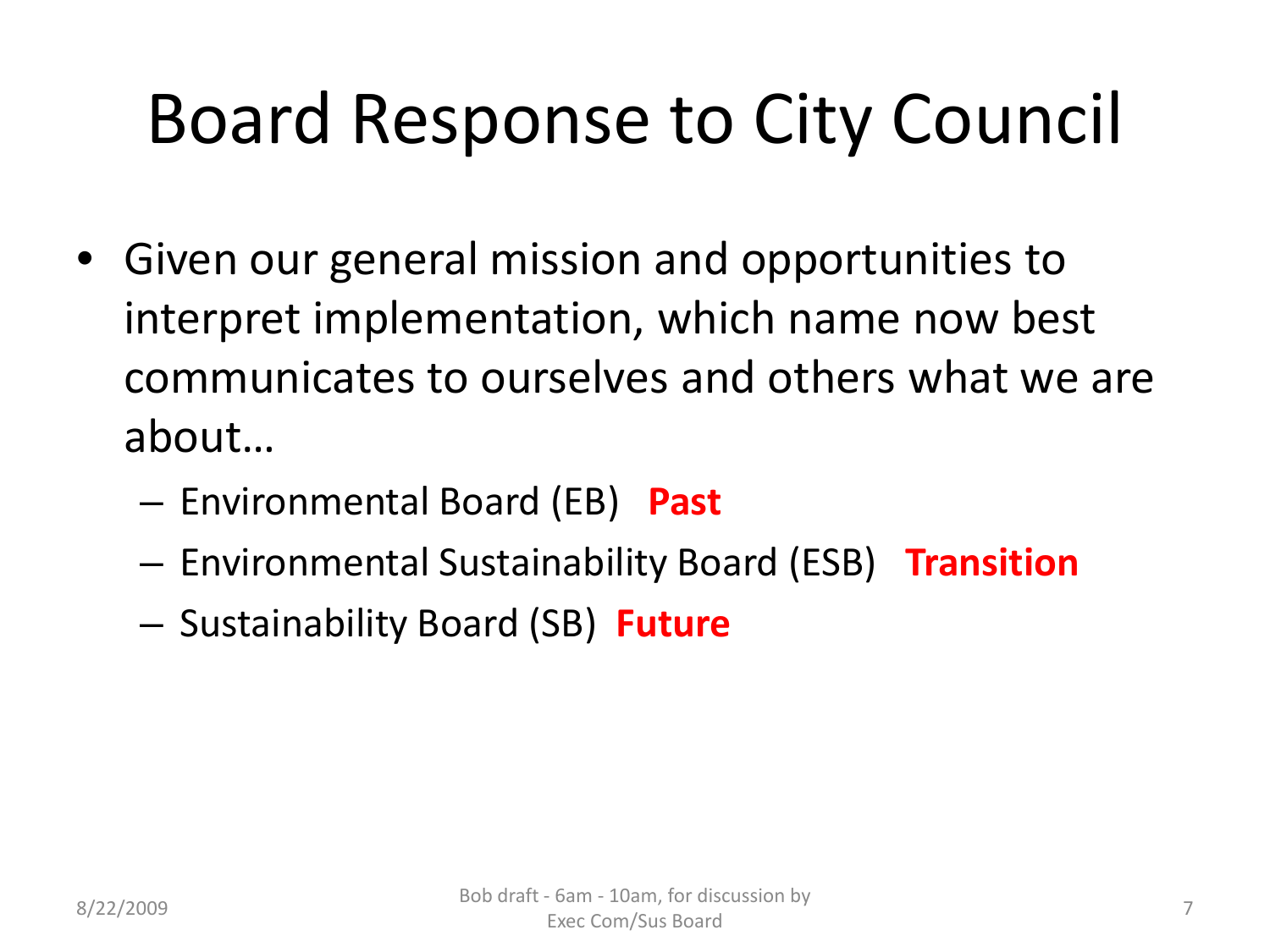# Board Response to City Council

- Given our general mission and opportunities to interpret implementation, which name now best communicates to ourselves and others what we are about…
	- Environmental Board (EB) **Past**
	- Environmental Sustainability Board (ESB) **Transition**
	- Sustainability Board (SB) **Future**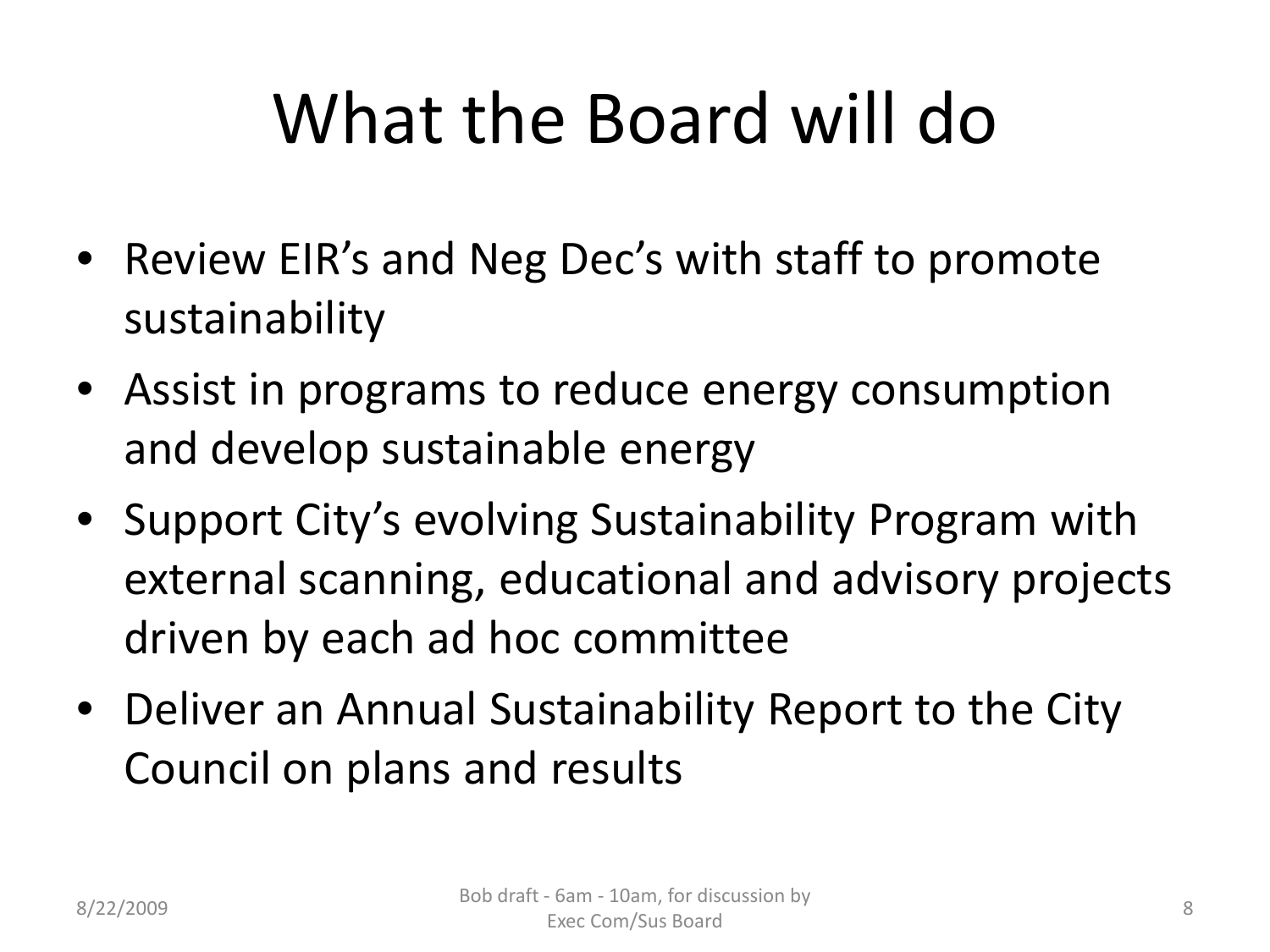# What the Board will do

- Review EIR's and Neg Dec's with staff to promote sustainability
- Assist in programs to reduce energy consumption and develop sustainable energy
- Support City's evolving Sustainability Program with external scanning, educational and advisory projects driven by each ad hoc committee
- Deliver an Annual Sustainability Report to the City Council on plans and results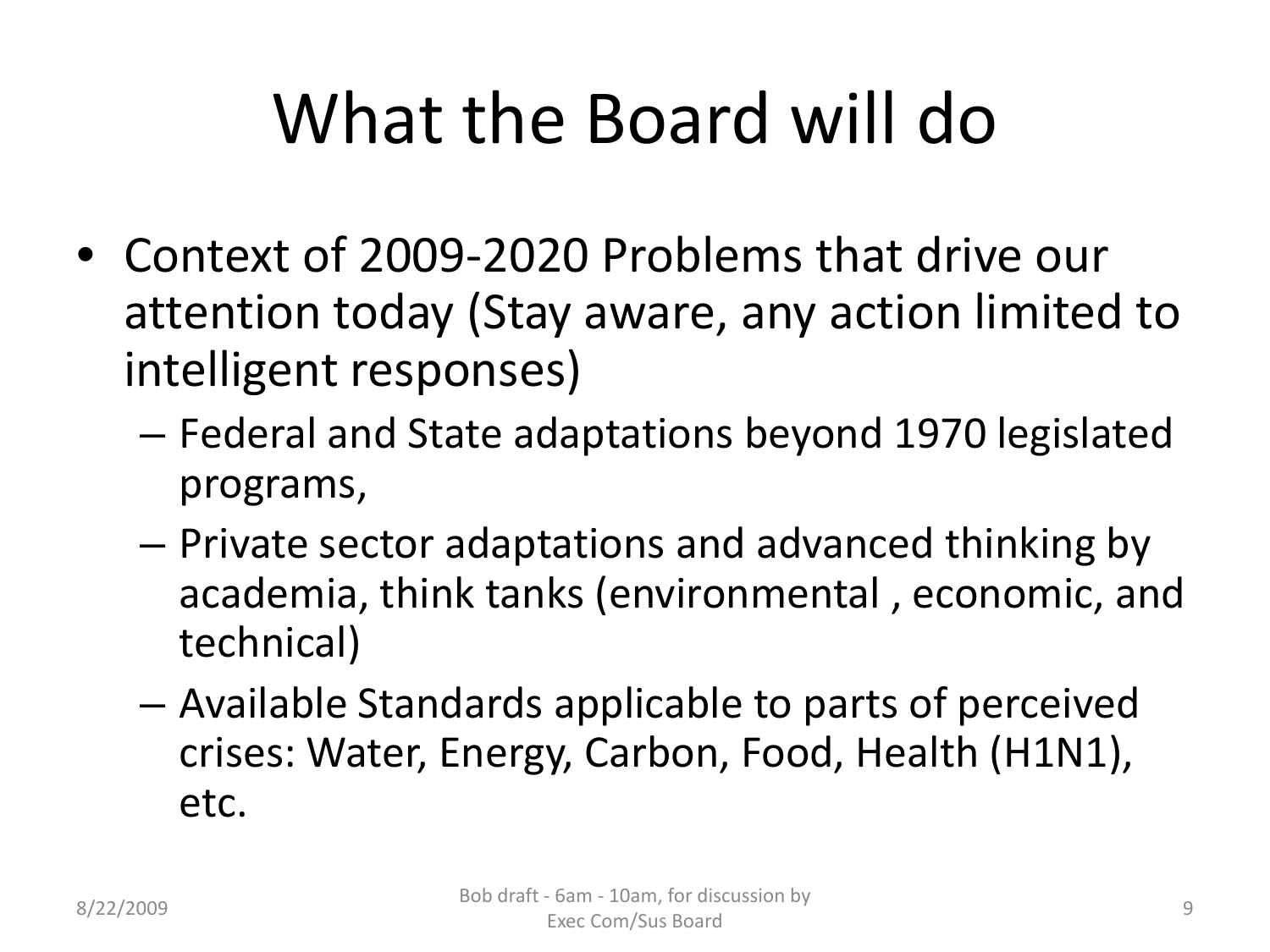# What the Board will do

- Context of 2009-2020 Problems that drive our attention today (Stay aware, any action limited to intelligent responses)
	- Federal and State adaptations beyond 1970 legislated programs,
	- Private sector adaptations and advanced thinking by academia, think tanks (environmental , economic, and technical)
	- Available Standards applicable to parts of perceived crises: Water, Energy, Carbon, Food, Health (H1N1), etc.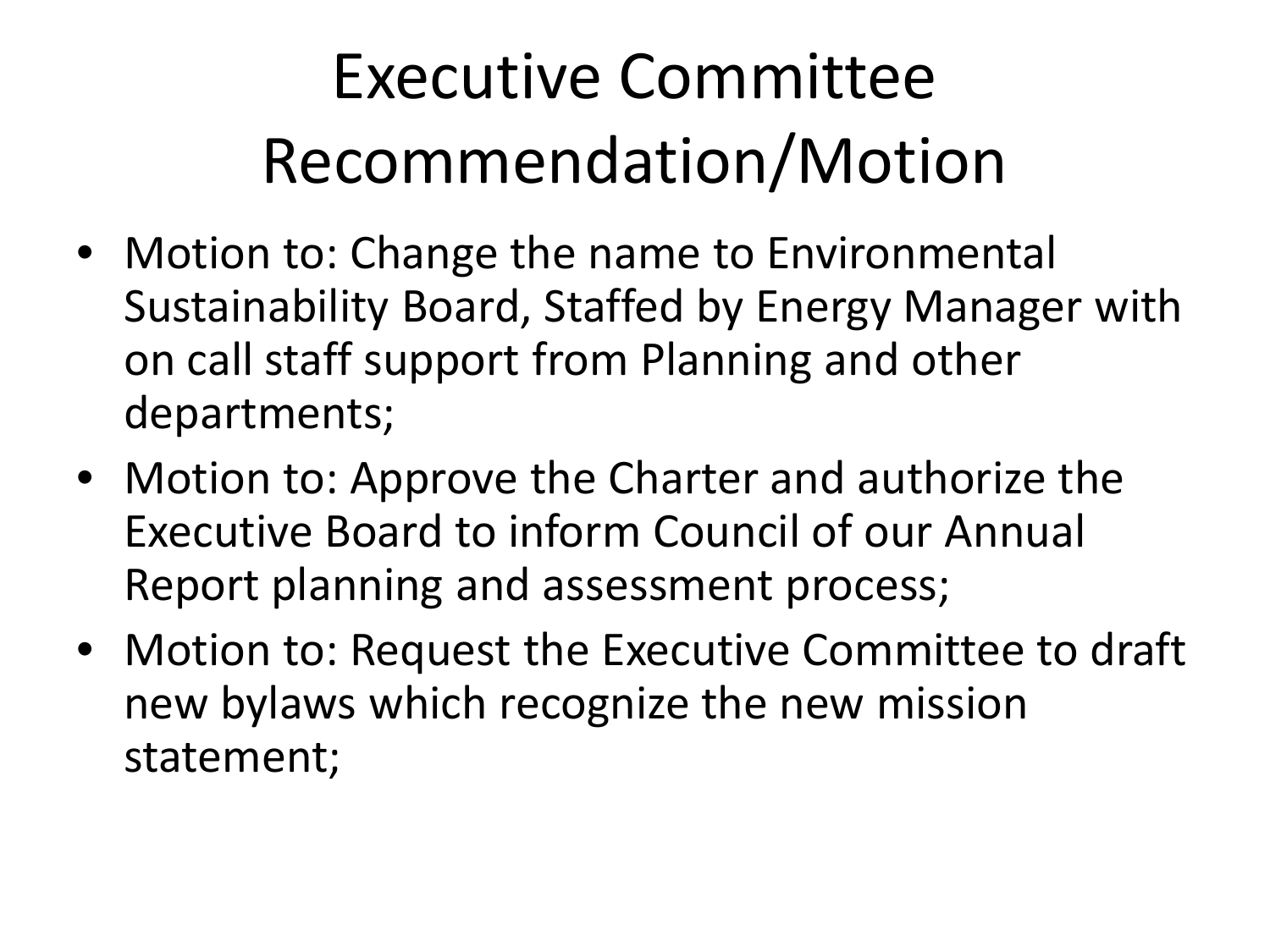# Executive Committee Recommendation/Motion

- Motion to: Change the name to Environmental Sustainability Board, Staffed by Energy Manager with on call staff support from Planning and other departments;
- Motion to: Approve the Charter and authorize the Executive Board to inform Council of our Annual Report planning and assessment process;
- Motion to: Request the Executive Committee to draft new bylaws which recognize the new mission statement;